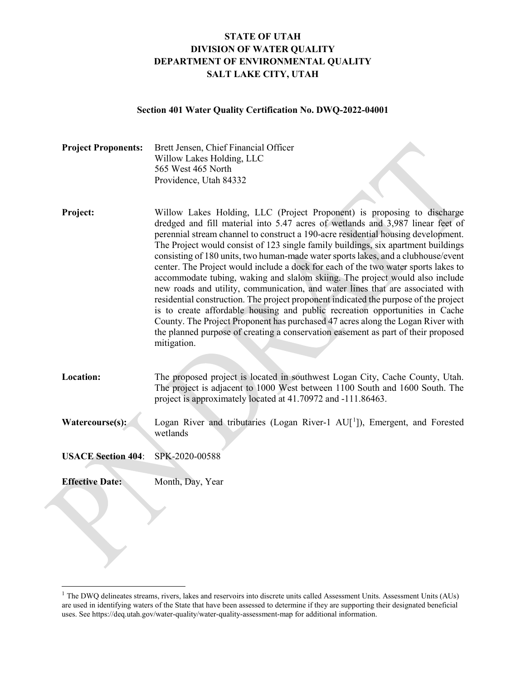# **STATE OF UTAH DIVISION OF WATER QUALITY DEPARTMENT OF ENVIRONMENTAL QUALITY SALT LAKE CITY, UTAH**

#### **Section 401 Water Quality Certification No. DWQ-2022-04001**

| <b>Project Proponents:</b> | Brett Jensen, Chief Financial Officer<br>Willow Lakes Holding, LLC |
|----------------------------|--------------------------------------------------------------------|
|                            | 565 West 465 North                                                 |
|                            | Providence, Utah 84332                                             |

- **Project:** Willow Lakes Holding, LLC (Project Proponent) is proposing to discharge dredged and fill material into 5.47 acres of wetlands and 3,987 linear feet of perennial stream channel to construct a 190-acre residential housing development. The Project would consist of 123 single family buildings, six apartment buildings consisting of 180 units, two human-made water sports lakes, and a clubhouse/event center. The Project would include a dock for each of the two water sports lakes to accommodate tubing, waking and slalom skiing. The project would also include new roads and utility, communication, and water lines that are associated with residential construction. The project proponent indicated the purpose of the project is to create affordable housing and public recreation opportunities in Cache County. The Project Proponent has purchased 47 acres along the Logan River with the planned purpose of creating a conservation easement as part of their proposed mitigation.
- **Location:** The proposed project is located in southwest Logan City, Cache County, Utah. The project is adjacent to 1000 West between 1100 South and 1600 South. The project is approximately located at 41.70972 and -111.86463.
- Watercourse(s): Logan River and tributaries (Logan River-[1](#page-0-0) AU<sup>[1</sup>]), Emergent, and Forested wetlands

**USACE Section 404**: SPK-2020-00588

**Effective Date:** Month, Day, Year

 $\overline{a}$ 

<span id="page-0-0"></span><sup>&</sup>lt;sup>1</sup> The DWQ delineates streams, rivers, lakes and reservoirs into discrete units called Assessment Units. Assessment Units (AUs) are used in identifying waters of the State that have been assessed to determine if they are supporting their designated beneficial uses. See https://deq.utah.gov/water-quality/water-quality-assessment-map for additional information.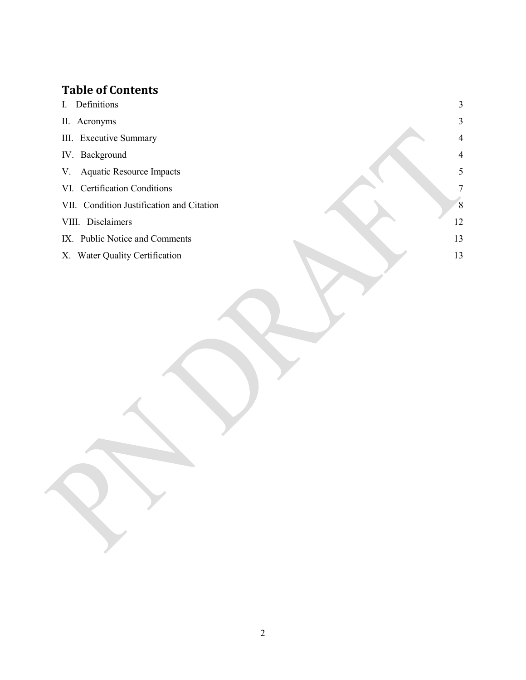# **Table of Contents**

- I. [Definitions](#page-2-0) 3
- II. [Acronyms](#page-2-1) 3
- III. [Executive Summary](#page-3-0) 4
- IV. [Background](#page-3-1) 4
- V. [Aquatic Resource Impacts](#page-4-0) 5
- VI. [Certification Conditions](#page-6-0) 7
- VII. [Condition Justification and Citation](#page-7-0) 8
- VIII. [Disclaimers](#page-11-0) 12
- IX. [Public Notice and Comments](#page-12-0) 13
- X. [Water Quality Certification](#page-12-1) 13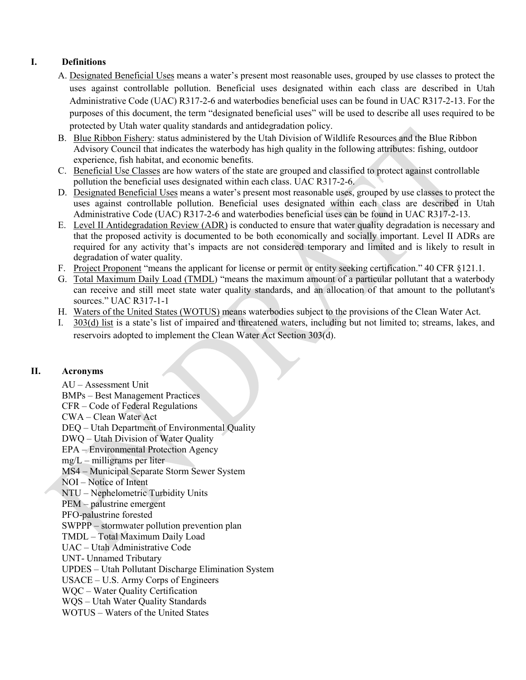# <span id="page-2-0"></span>**I. Definitions**

- A. Designated Beneficial Uses means a water's present most reasonable uses, grouped by use classes to protect the uses against controllable pollution. Beneficial uses designated within each class are described in Utah Administrative Code (UAC) R317-2-6 and waterbodies beneficial uses can be found in UAC R317-2-13. For the purposes of this document, the term "designated beneficial uses" will be used to describe all uses required to be protected by Utah water quality standards and antidegradation policy.
- B. Blue Ribbon Fishery: status administered by the Utah Division of Wildlife Resources and the Blue Ribbon Advisory Council that indicates the waterbody has high quality in the following attributes: fishing, outdoor experience, fish habitat, and economic benefits.
- C. Beneficial Use Classes are how waters of the state are grouped and classified to protect against controllable pollution the beneficial uses designated within each class. UAC R317-2-6.
- D. Designated Beneficial Uses means a water's present most reasonable uses, grouped by use classes to protect the uses against controllable pollution. Beneficial uses designated within each class are described in Utah Administrative Code (UAC) R317-2-6 and waterbodies beneficial uses can be found in UAC R317-2-13.
- E. Level II Antidegradation Review (ADR) is conducted to ensure that water quality degradation is necessary and that the proposed activity is documented to be both economically and socially important. Level II ADRs are required for any activity that's impacts are not considered temporary and limited and is likely to result in degradation of water quality.
- F. Project Proponent "means the applicant for license or permit or entity seeking certification." 40 CFR §121.1.
- G. Total Maximum Daily Load (TMDL) "means the maximum amount of a particular pollutant that a waterbody can receive and still meet state water quality standards, and an allocation of that amount to the pollutant's sources." UAC R317-1-1
- H. Waters of the United States (WOTUS) means waterbodies subject to the provisions of the Clean Water Act.
- I. 303(d) list is a state's list of impaired and threatened waters, including but not limited to; streams, lakes, and reservoirs adopted to implement the Clean Water Act Section 303(d).

### <span id="page-2-1"></span>**II. Acronyms**

AU – Assessment Unit BMPs – Best Management Practices CFR – Code of Federal Regulations CWA – Clean Water Act DEQ – Utah Department of Environmental Quality DWQ – Utah Division of Water Quality EPA – Environmental Protection Agency  $mg/L$  – milligrams per liter MS4 – Municipal Separate Storm Sewer System NOI – Notice of Intent NTU – Nephelometric Turbidity Units PEM – palustrine emergent PFO-palustrine forested SWPPP – stormwater pollution prevention plan TMDL – Total Maximum Daily Load UAC – Utah Administrative Code UNT- Unnamed Tributary UPDES – Utah Pollutant Discharge Elimination System USACE – U.S. Army Corps of Engineers WQC – Water Quality Certification WQS – Utah Water Quality Standards WOTUS – Waters of the United States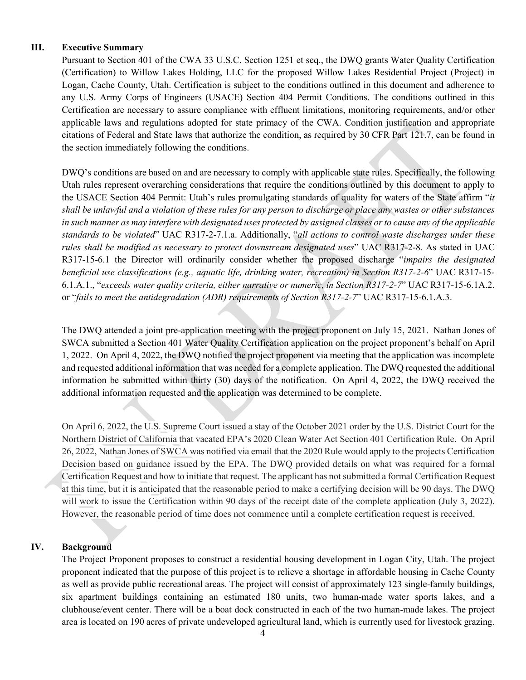#### <span id="page-3-0"></span>**III. Executive Summary**

Pursuant to Section 401 of the CWA 33 U.S.C. Section 1251 et seq., the DWQ grants Water Quality Certification (Certification) to Willow Lakes Holding, LLC for the proposed Willow Lakes Residential Project (Project) in Logan, Cache County, Utah. Certification is subject to the conditions outlined in this document and adherence to any U.S. Army Corps of Engineers (USACE) Section 404 Permit Conditions. The conditions outlined in this Certification are necessary to assure compliance with effluent limitations, monitoring requirements, and/or other applicable laws and regulations adopted for state primacy of the CWA. Condition justification and appropriate citations of Federal and State laws that authorize the condition, as required by 30 CFR Part 121.7, can be found in the section immediately following the conditions.

DWQ's conditions are based on and are necessary to comply with applicable state rules. Specifically, the following Utah rules represent overarching considerations that require the conditions outlined by this document to apply to the USACE Section 404 Permit: Utah's rules promulgating standards of quality for waters of the State affirm "*it shall be unlawful and a violation of these rules for any person to discharge or place any wastes or other substances in such manner as may interfere with designated uses protected by assigned classes or to cause any of the applicable standards to be violated*" UAC R317-2-7.1.a. Additionally, "*all actions to control waste discharges under these rules shall be modified as necessary to protect downstream designated uses*" UAC R317-2-8. As stated in UAC R317-15-6.1 the Director will ordinarily consider whether the proposed discharge "*impairs the designated beneficial use classifications (e.g., aquatic life, drinking water, recreation) in Section R317-2-6*" UAC R317-15- 6.1.A.1., "*exceeds water quality criteria, either narrative or numeric, in Section R317-2-7*" UAC R317-15-6.1A.2. or "*fails to meet the antidegradation (ADR) requirements of Section R317-2-7*" UAC R317-15-6.1.A.3.

The DWQ attended a joint pre-application meeting with the project proponent on July 15, 2021. Nathan Jones of SWCA submitted a Section 401 Water Quality Certification application on the project proponent's behalf on April 1, 2022. On April 4, 2022, the DWQ notified the project proponent via meeting that the application was incomplete and requested additional information that was needed for a complete application. The DWQ requested the additional information be submitted within thirty (30) days of the notification. On April 4, 2022, the DWQ received the additional information requested and the application was determined to be complete.

On April 6, 2022, the U.S. Supreme Court issued a stay of the October 2021 order by the U.S. District Court for the Northern District of California that vacated EPA's 2020 Clean Water Act Section 401 Certification Rule. On April 26, 2022, Nathan Jones of SWCA was notified via email that the 2020 Rule would apply to the projects Certification Decision based on guidance issued by the EPA. The DWQ provided details on what was required for a formal Certification Request and how to initiate that request. The applicant has not submitted a formal Certification Request at this time, but it is anticipated that the reasonable period to make a certifying decision will be 90 days. The DWQ will work to issue the Certification within 90 days of the receipt date of the complete application (July 3, 2022). However, the reasonable period of time does not commence until a complete certification request is received.

#### <span id="page-3-1"></span>**IV. Background**

The Project Proponent proposes to construct a residential housing development in Logan City, Utah. The project proponent indicated that the purpose of this project is to relieve a shortage in affordable housing in Cache County as well as provide public recreational areas. The project will consist of approximately 123 single-family buildings, six apartment buildings containing an estimated 180 units, two human-made water sports lakes, and a clubhouse/event center. There will be a boat dock constructed in each of the two human-made lakes. The project area is located on 190 acres of private undeveloped agricultural land, which is currently used for livestock grazing.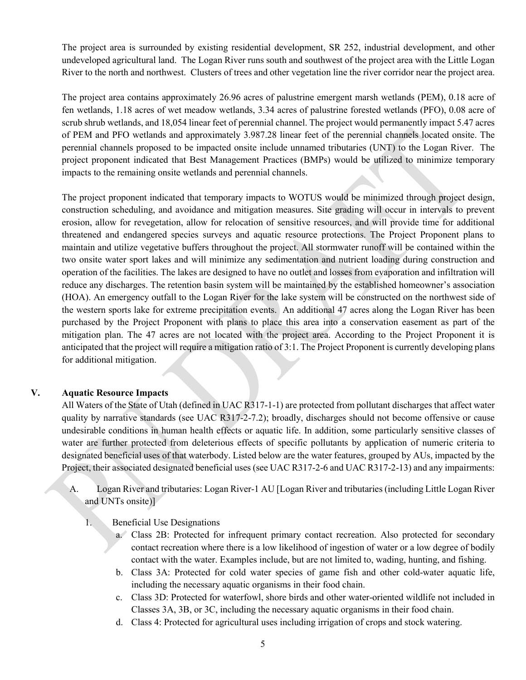The project area is surrounded by existing residential development, SR 252, industrial development, and other undeveloped agricultural land. The Logan River runs south and southwest of the project area with the Little Logan River to the north and northwest. Clusters of trees and other vegetation line the river corridor near the project area.

The project area contains approximately 26.96 acres of palustrine emergent marsh wetlands (PEM), 0.18 acre of fen wetlands, 1.18 acres of wet meadow wetlands, 3.34 acres of palustrine forested wetlands (PFO), 0.08 acre of scrub shrub wetlands, and 18,054 linear feet of perennial channel. The project would permanently impact 5.47 acres of PEM and PFO wetlands and approximately 3.987.28 linear feet of the perennial channels located onsite. The perennial channels proposed to be impacted onsite include unnamed tributaries (UNT) to the Logan River. The project proponent indicated that Best Management Practices (BMPs) would be utilized to minimize temporary impacts to the remaining onsite wetlands and perennial channels.

The project proponent indicated that temporary impacts to WOTUS would be minimized through project design, construction scheduling, and avoidance and mitigation measures. Site grading will occur in intervals to prevent erosion, allow for revegetation, allow for relocation of sensitive resources, and will provide time for additional threatened and endangered species surveys and aquatic resource protections. The Project Proponent plans to maintain and utilize vegetative buffers throughout the project. All stormwater runoff will be contained within the two onsite water sport lakes and will minimize any sedimentation and nutrient loading during construction and operation of the facilities. The lakes are designed to have no outlet and losses from evaporation and infiltration will reduce any discharges. The retention basin system will be maintained by the established homeowner's association (HOA). An emergency outfall to the Logan River for the lake system will be constructed on the northwest side of the western sports lake for extreme precipitation events. An additional 47 acres along the Logan River has been purchased by the Project Proponent with plans to place this area into a conservation easement as part of the mitigation plan. The 47 acres are not located with the project area. According to the Project Proponent it is anticipated that the project will require a mitigation ratio of 3:1. The Project Proponent is currently developing plans for additional mitigation.

#### <span id="page-4-0"></span>**V. Aquatic Resource Impacts**

All Waters of the State of Utah (defined in UAC R317-1-1) are protected from pollutant discharges that affect water quality by narrative standards (see UAC R317-2-7.2); broadly, discharges should not become offensive or cause undesirable conditions in human health effects or aquatic life. In addition, some particularly sensitive classes of water are further protected from deleterious effects of specific pollutants by application of numeric criteria to designated beneficial uses of that waterbody. Listed below are the water features, grouped by AUs, impacted by the Project, their associated designated beneficial uses (see UAC R317-2-6 and UAC R317-2-13) and any impairments:

- A. Logan River and tributaries: Logan River-1 AU [Logan River and tributaries (including Little Logan River and UNTs onsite)]
	- 1. Beneficial Use Designations
		- a. Class 2B: Protected for infrequent primary contact recreation. Also protected for secondary contact recreation where there is a low likelihood of ingestion of water or a low degree of bodily contact with the water. Examples include, but are not limited to, wading, hunting, and fishing.
		- b. Class 3A: Protected for cold water species of game fish and other cold-water aquatic life, including the necessary aquatic organisms in their food chain.
		- c. Class 3D: Protected for waterfowl, shore birds and other water-oriented wildlife not included in Classes 3A, 3B, or 3C, including the necessary aquatic organisms in their food chain.
		- d. Class 4: Protected for agricultural uses including irrigation of crops and stock watering.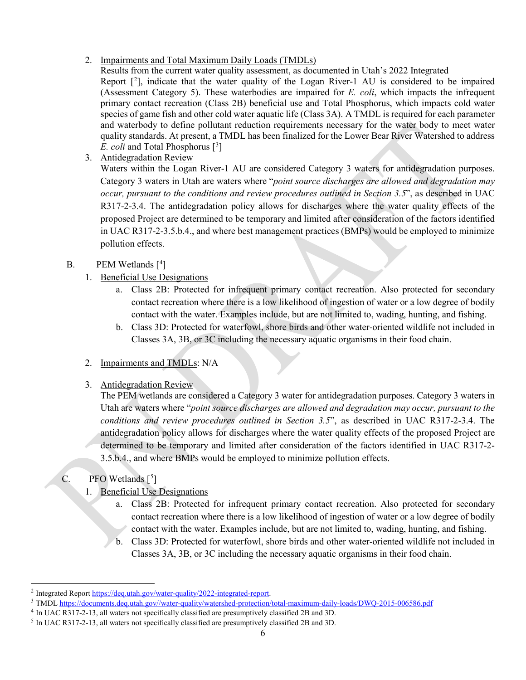2. Impairments and Total Maximum Daily Loads (TMDLs)

Results from the current water quality assessment, as documented in Utah's 2022 Integrated Report  $[2]$  $[2]$  $[2]$ , indicate that the water quality of the Logan River-1 AU is considered to be impaired (Assessment Category 5). These waterbodies are impaired for *E. coli*, which impacts the infrequent primary contact recreation (Class 2B) beneficial use and Total Phosphorus, which impacts cold water species of game fish and other cold water aquatic life (Class 3A). A TMDL is required for each parameter and waterbody to define pollutant reduction requirements necessary for the water body to meet water quality standards. At present, a TMDL has been finalized for the Lower Bear River Watershed to address *E. coli* and Total Phosphorus [<sup>[3](#page-5-1)</sup>]

3. Antidegradation Review

Waters within the Logan River-1 AU are considered Category 3 waters for antidegradation purposes. Category 3 waters in Utah are waters where "*point source discharges are allowed and degradation may occur, pursuant to the conditions and review procedures outlined in Section 3.5*", as described in UAC R317-2-3.4. The antidegradation policy allows for discharges where the water quality effects of the proposed Project are determined to be temporary and limited after consideration of the factors identified in UAC R317-2-3.5.b.4., and where best management practices (BMPs) would be employed to minimize pollution effects.

# B. PEM Wetlands [<sup>[4](#page-5-2)</sup>]

- 1. Beneficial Use Designations
	- a. Class 2B: Protected for infrequent primary contact recreation. Also protected for secondary contact recreation where there is a low likelihood of ingestion of water or a low degree of bodily contact with the water. Examples include, but are not limited to, wading, hunting, and fishing.
	- b. Class 3D: Protected for waterfowl, shore birds and other water-oriented wildlife not included in Classes 3A, 3B, or 3C including the necessary aquatic organisms in their food chain.
- 2. Impairments and TMDLs: N/A
- 3. Antidegradation Review

The PEM wetlands are considered a Category 3 water for antidegradation purposes. Category 3 waters in Utah are waters where "*point source discharges are allowed and degradation may occur, pursuant to the conditions and review procedures outlined in Section 3.5*", as described in UAC R317-2-3.4. The antidegradation policy allows for discharges where the water quality effects of the proposed Project are determined to be temporary and limited after consideration of the factors identified in UAC R317-2- 3.5.b.4., and where BMPs would be employed to minimize pollution effects.

# C. PFO Wetlands  $[5]$  $[5]$  $[5]$

 $\overline{a}$ 

- 1. Beneficial Use Designations
	- a. Class 2B: Protected for infrequent primary contact recreation. Also protected for secondary contact recreation where there is a low likelihood of ingestion of water or a low degree of bodily contact with the water. Examples include, but are not limited to, wading, hunting, and fishing.
	- b. Class 3D: Protected for waterfowl, shore birds and other water-oriented wildlife not included in Classes 3A, 3B, or 3C including the necessary aquatic organisms in their food chain.

<span id="page-5-0"></span><sup>2</sup> Integrated Repor[t https://deq.utah.gov/water-quality/2022-integrated-report.](https://deq.utah.gov/water-quality/2022-integrated-report)

<span id="page-5-1"></span><sup>&</sup>lt;sup>3</sup> TMD[L https://documents.deq.utah.gov//water-quality/watershed-protection/total-maximum-daily-loads/DWQ-2015-006586.pdf](https://documents.deq.utah.gov/water-quality/watershed-protection/total-maximum-daily-loads/DWQ-2015-006586.pdf)

<span id="page-5-2"></span><sup>4</sup> In UAC R317-2-13, all waters not specifically classified are presumptively classified 2B and 3D.

<span id="page-5-3"></span><sup>5</sup> In UAC R317-2-13, all waters not specifically classified are presumptively classified 2B and 3D.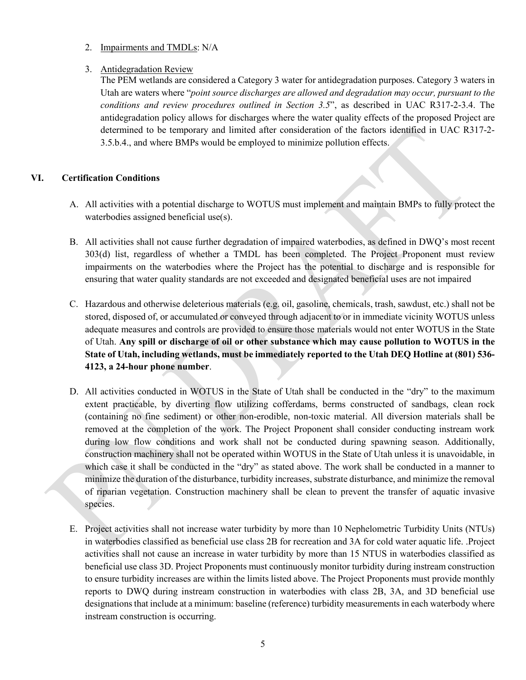2. Impairments and TMDLs: N/A

## 3. Antidegradation Review

The PEM wetlands are considered a Category 3 water for antidegradation purposes. Category 3 waters in Utah are waters where "*point source discharges are allowed and degradation may occur, pursuant to the conditions and review procedures outlined in Section 3.5*", as described in UAC R317-2-3.4. The antidegradation policy allows for discharges where the water quality effects of the proposed Project are determined to be temporary and limited after consideration of the factors identified in UAC R317-2- 3.5.b.4., and where BMPs would be employed to minimize pollution effects.

### <span id="page-6-0"></span>**VI. Certification Conditions**

- A. All activities with a potential discharge to WOTUS must implement and maintain BMPs to fully protect the waterbodies assigned beneficial use(s).
- B. All activities shall not cause further degradation of impaired waterbodies, as defined in DWQ's most recent 303(d) list, regardless of whether a TMDL has been completed. The Project Proponent must review impairments on the waterbodies where the Project has the potential to discharge and is responsible for ensuring that water quality standards are not exceeded and designated beneficial uses are not impaired
- C. Hazardous and otherwise deleterious materials (e.g. oil, gasoline, chemicals, trash, sawdust, etc.) shall not be stored, disposed of, or accumulated or conveyed through adjacent to or in immediate vicinity WOTUS unless adequate measures and controls are provided to ensure those materials would not enter WOTUS in the State of Utah. **Any spill or discharge of oil or other substance which may cause pollution to WOTUS in the State of Utah, including wetlands, must be immediately reported to the Utah DEQ Hotline at (801) 536- 4123, a 24-hour phone number**.
- D. All activities conducted in WOTUS in the State of Utah shall be conducted in the "dry" to the maximum extent practicable, by diverting flow utilizing cofferdams, berms constructed of sandbags, clean rock (containing no fine sediment) or other non-erodible, non-toxic material. All diversion materials shall be removed at the completion of the work. The Project Proponent shall consider conducting instream work during low flow conditions and work shall not be conducted during spawning season. Additionally, construction machinery shall not be operated within WOTUS in the State of Utah unless it is unavoidable, in which case it shall be conducted in the "dry" as stated above. The work shall be conducted in a manner to minimize the duration of the disturbance, turbidity increases, substrate disturbance, and minimize the removal of riparian vegetation. Construction machinery shall be clean to prevent the transfer of aquatic invasive species.
- E. Project activities shall not increase water turbidity by more than 10 Nephelometric Turbidity Units (NTUs) in waterbodies classified as beneficial use class 2B for recreation and 3A for cold water aquatic life. .Project activities shall not cause an increase in water turbidity by more than 15 NTUS in waterbodies classified as beneficial use class 3D. Project Proponents must continuously monitor turbidity during instream construction to ensure turbidity increases are within the limits listed above. The Project Proponents must provide monthly reports to DWQ during instream construction in waterbodies with class 2B, 3A, and 3D beneficial use designations that include at a minimum: baseline (reference) turbidity measurements in each waterbody where instream construction is occurring.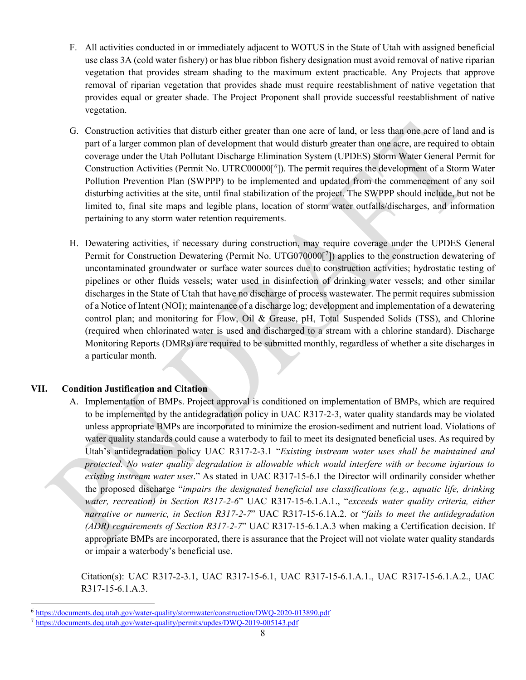- F. All activities conducted in or immediately adjacent to WOTUS in the State of Utah with assigned beneficial use class 3A (cold water fishery) or has blue ribbon fishery designation must avoid removal of native riparian vegetation that provides stream shading to the maximum extent practicable. Any Projects that approve removal of riparian vegetation that provides shade must require reestablishment of native vegetation that provides equal or greater shade. The Project Proponent shall provide successful reestablishment of native vegetation.
- G. Construction activities that disturb either greater than one acre of land, or less than one acre of land and is part of a larger common plan of development that would disturb greater than one acre, are required to obtain coverage under the Utah Pollutant Discharge Elimination System (UPDES) Storm Water General Permit for Construction Activities (Permit No. UTRC00000[<sup>[6](#page-7-1)</sup>]). The permit requires the development of a Storm Water Pollution Prevention Plan (SWPPP) to be implemented and updated from the commencement of any soil disturbing activities at the site, until final stabilization of the project. The SWPPP should include, but not be limited to, final site maps and legible plans, location of storm water outfalls/discharges, and information pertaining to any storm water retention requirements.
- H. Dewatering activities, if necessary during construction, may require coverage under the UPDES General Permit for Construction Dewatering (Permit No. UTG0[7](#page-7-2)0000[7]) applies to the construction dewatering of uncontaminated groundwater or surface water sources due to construction activities; hydrostatic testing of pipelines or other fluids vessels; water used in disinfection of drinking water vessels; and other similar discharges in the State of Utah that have no discharge of process wastewater. The permit requires submission of a Notice of Intent (NOI); maintenance of a discharge log; development and implementation of a dewatering control plan; and monitoring for Flow, Oil & Grease, pH, Total Suspended Solids (TSS), and Chlorine (required when chlorinated water is used and discharged to a stream with a chlorine standard). Discharge Monitoring Reports (DMRs) are required to be submitted monthly, regardless of whether a site discharges in a particular month.

### <span id="page-7-0"></span>**VII. Condition Justification and Citation**

 $\overline{a}$ 

A. Implementation of BMPs. Project approval is conditioned on implementation of BMPs, which are required to be implemented by the antidegradation policy in UAC R317-2-3, water quality standards may be violated unless appropriate BMPs are incorporated to minimize the erosion-sediment and nutrient load. Violations of water quality standards could cause a waterbody to fail to meet its designated beneficial uses. As required by Utah's antidegradation policy UAC R317-2-3.1 "*Existing instream water uses shall be maintained and protected. No water quality degradation is allowable which would interfere with or become injurious to existing instream water uses*." As stated in UAC R317-15-6.1 the Director will ordinarily consider whether the proposed discharge "*impairs the designated beneficial use classifications (e.g., aquatic life, drinking water, recreation) in Section R317-2-6*" UAC R317-15-6.1.A.1., "*exceeds water quality criteria, either narrative or numeric, in Section R317-2-7*" UAC R317-15-6.1A.2. or "*fails to meet the antidegradation (ADR) requirements of Section R317-2-7*" UAC R317-15-6.1.A.3 when making a Certification decision. If appropriate BMPs are incorporated, there is assurance that the Project will not violate water quality standards or impair a waterbody's beneficial use.

Citation(s): UAC R317-2-3.1, UAC R317-15-6.1, UAC R317-15-6.1.A.1., UAC R317-15-6.1.A.2., UAC R317-15-6.1.A.3.

<span id="page-7-1"></span><sup>6</sup> <https://documents.deq.utah.gov/water-quality/stormwater/construction/DWQ-2020-013890.pdf>

<span id="page-7-2"></span><sup>7</sup> <https://documents.deq.utah.gov/water-quality/permits/updes/DWQ-2019-005143.pdf>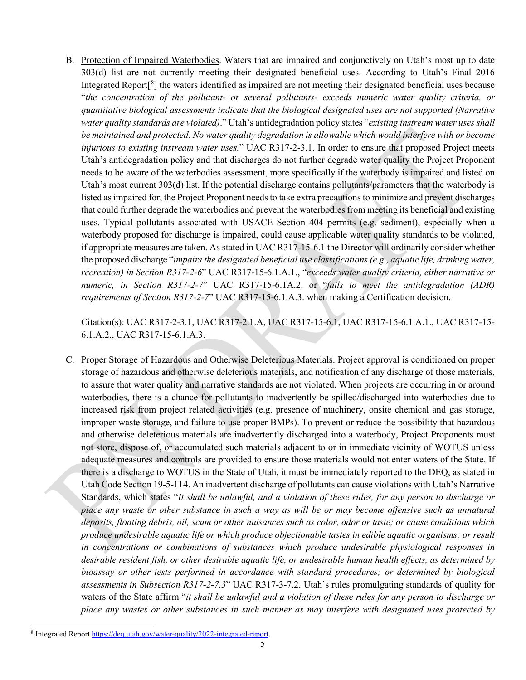B. Protection of Impaired Waterbodies. Waters that are impaired and conjunctively on Utah's most up to date 303(d) list are not currently meeting their designated beneficial uses. According to Utah's Final 2016 Integrated Report<sup>[[8](#page-8-0)</sup>] the waters identified as impaired are not meeting their designated beneficial uses because "*the concentration of the pollutant- or several pollutants- exceeds numeric water quality criteria, or quantitative biological assessments indicate that the biological designated uses are not supported (Narrative water quality standards are violated)*." Utah's antidegradation policy states "*existing instream water uses shall be maintained and protected. No water quality degradation is allowable which would interfere with or become injurious to existing instream water uses.*" UAC R317-2-3.1. In order to ensure that proposed Project meets Utah's antidegradation policy and that discharges do not further degrade water quality the Project Proponent needs to be aware of the waterbodies assessment, more specifically if the waterbody is impaired and listed on Utah's most current 303(d) list. If the potential discharge contains pollutants/parameters that the waterbody is listed as impaired for, the Project Proponent needs to take extra precautions to minimize and prevent discharges that could further degrade the waterbodies and prevent the waterbodies from meeting its beneficial and existing uses. Typical pollutants associated with USACE Section 404 permits (e.g. sediment), especially when a waterbody proposed for discharge is impaired, could cause applicable water quality standards to be violated, if appropriate measures are taken. As stated in UAC R317-15-6.1 the Director will ordinarily consider whether the proposed discharge "*impairs the designated beneficial use classifications (e.g., aquatic life, drinking water, recreation) in Section R317-2-6*" UAC R317-15-6.1.A.1., "*exceeds water quality criteria, either narrative or numeric, in Section R317-2-7*" UAC R317-15-6.1A.2. or "*fails to meet the antidegradation (ADR) requirements of Section R317-2-7*" UAC R317-15-6.1.A.3. when making a Certification decision.

Citation(s): UAC R317-2-3.1, UAC R317-2.1.A, UAC R317-15-6.1, UAC R317-15-6.1.A.1., UAC R317-15- 6.1.A.2., UAC R317-15-6.1.A.3.

C. Proper Storage of Hazardous and Otherwise Deleterious Materials. Project approval is conditioned on proper storage of hazardous and otherwise deleterious materials, and notification of any discharge of those materials, to assure that water quality and narrative standards are not violated. When projects are occurring in or around waterbodies, there is a chance for pollutants to inadvertently be spilled/discharged into waterbodies due to increased risk from project related activities (e.g. presence of machinery, onsite chemical and gas storage, improper waste storage, and failure to use proper BMPs). To prevent or reduce the possibility that hazardous and otherwise deleterious materials are inadvertently discharged into a waterbody, Project Proponents must not store, dispose of, or accumulated such materials adjacent to or in immediate vicinity of WOTUS unless adequate measures and controls are provided to ensure those materials would not enter waters of the State. If there is a discharge to WOTUS in the State of Utah, it must be immediately reported to the DEQ, as stated in Utah Code Section 19-5-114. An inadvertent discharge of pollutants can cause violations with Utah's Narrative Standards, which states "*It shall be unlawful, and a violation of these rules, for any person to discharge or place any waste or other substance in such a way as will be or may become offensive such as unnatural deposits, floating debris, oil, scum or other nuisances such as color, odor or taste; or cause conditions which produce undesirable aquatic life or which produce objectionable tastes in edible aquatic organisms; or result in concentrations or combinations of substances which produce undesirable physiological responses in desirable resident fish, or other desirable aquatic life, or undesirable human health effects, as determined by bioassay or other tests performed in accordance with standard procedures; or determined by biological assessments in Subsection R317-2-7.3*" UAC R317-3-7.2. Utah's rules promulgating standards of quality for waters of the State affirm "*it shall be unlawful and a violation of these rules for any person to discharge or place any wastes or other substances in such manner as may interfere with designated uses protected by* 

 $\overline{a}$ 

<span id="page-8-0"></span><sup>8</sup> Integrated Repor[t https://deq.utah.gov/water-quality/2022-integrated-report.](https://deq.utah.gov/water-quality/2022-integrated-report)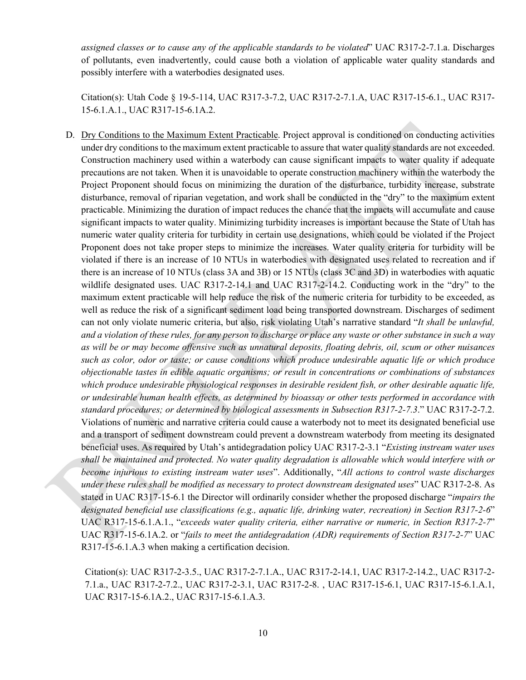*assigned classes or to cause any of the applicable standards to be violated*" UAC R317-2-7.1.a. Discharges of pollutants, even inadvertently, could cause both a violation of applicable water quality standards and possibly interfere with a waterbodies designated uses.

Citation(s): Utah Code § 19-5-114, UAC R317-3-7.2, UAC R317-2-7.1.A, UAC R317-15-6.1., UAC R317- 15-6.1.A.1., UAC R317-15-6.1A.2.

D. Dry Conditions to the Maximum Extent Practicable. Project approval is conditioned on conducting activities under dry conditions to the maximum extent practicable to assure that water quality standards are not exceeded. Construction machinery used within a waterbody can cause significant impacts to water quality if adequate precautions are not taken. When it is unavoidable to operate construction machinery within the waterbody the Project Proponent should focus on minimizing the duration of the disturbance, turbidity increase, substrate disturbance, removal of riparian vegetation, and work shall be conducted in the "dry" to the maximum extent practicable. Minimizing the duration of impact reduces the chance that the impacts will accumulate and cause significant impacts to water quality. Minimizing turbidity increases is important because the State of Utah has numeric water quality criteria for turbidity in certain use designations, which could be violated if the Project Proponent does not take proper steps to minimize the increases. Water quality criteria for turbidity will be violated if there is an increase of 10 NTUs in waterbodies with designated uses related to recreation and if there is an increase of 10 NTUs (class 3A and 3B) or 15 NTUs (class 3C and 3D) in waterbodies with aquatic wildlife designated uses. UAC R317-2-14.1 and UAC R317-2-14.2. Conducting work in the "dry" to the maximum extent practicable will help reduce the risk of the numeric criteria for turbidity to be exceeded, as well as reduce the risk of a significant sediment load being transported downstream. Discharges of sediment can not only violate numeric criteria, but also, risk violating Utah's narrative standard "*It shall be unlawful, and a violation of these rules, for any person to discharge or place any waste or other substance in such a way as will be or may become offensive such as unnatural deposits, floating debris, oil, scum or other nuisances such as color, odor or taste; or cause conditions which produce undesirable aquatic life or which produce objectionable tastes in edible aquatic organisms; or result in concentrations or combinations of substances which produce undesirable physiological responses in desirable resident fish, or other desirable aquatic life, or undesirable human health effects, as determined by bioassay or other tests performed in accordance with standard procedures; or determined by biological assessments in Subsection R317-2-7.3*." UAC R317-2-7.2. Violations of numeric and narrative criteria could cause a waterbody not to meet its designated beneficial use and a transport of sediment downstream could prevent a downstream waterbody from meeting its designated beneficial uses. As required by Utah's antidegradation policy UAC R317-2-3.1 "*Existing instream water uses shall be maintained and protected. No water quality degradation is allowable which would interfere with or become injurious to existing instream water uses*". Additionally, "*All actions to control waste discharges under these rules shall be modified as necessary to protect downstream designated uses*" UAC R317-2-8. As stated in UAC R317-15-6.1 the Director will ordinarily consider whether the proposed discharge "*impairs the designated beneficial use classifications (e.g., aquatic life, drinking water, recreation) in Section R317-2-6*" UAC R317-15-6.1.A.1., "*exceeds water quality criteria, either narrative or numeric, in Section R317-2-7*" UAC R317-15-6.1A.2. or "*fails to meet the antidegradation (ADR) requirements of Section R317-2-7*" UAC R317-15-6.1.A.3 when making a certification decision.

Citation(s): UAC R317-2-3.5., UAC R317-2-7.1.A., UAC R317-2-14.1, UAC R317-2-14.2., UAC R317-2- 7.1.a., UAC R317-2-7.2., UAC R317-2-3.1, UAC R317-2-8. , UAC R317-15-6.1, UAC R317-15-6.1.A.1, UAC R317-15-6.1A.2., UAC R317-15-6.1.A.3.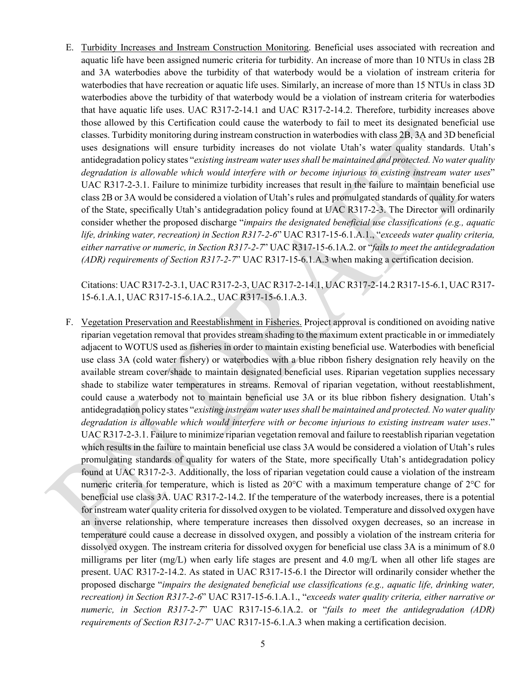E. Turbidity Increases and Instream Construction Monitoring. Beneficial uses associated with recreation and aquatic life have been assigned numeric criteria for turbidity. An increase of more than 10 NTUs in class 2B and 3A waterbodies above the turbidity of that waterbody would be a violation of instream criteria for waterbodies that have recreation or aquatic life uses. Similarly, an increase of more than 15 NTUs in class 3D waterbodies above the turbidity of that waterbody would be a violation of instream criteria for waterbodies that have aquatic life uses. UAC R317-2-14.1 and UAC R317-2-14.2. Therefore, turbidity increases above those allowed by this Certification could cause the waterbody to fail to meet its designated beneficial use classes. Turbidity monitoring during instream construction in waterbodies with class 2B, 3A and 3D beneficial uses designations will ensure turbidity increases do not violate Utah's water quality standards. Utah's antidegradation policy states "*existing instream water uses shall be maintained and protected. No water quality degradation is allowable which would interfere with or become injurious to existing instream water uses*" UAC R317-2-3.1. Failure to minimize turbidity increases that result in the failure to maintain beneficial use class 2B or 3A would be considered a violation of Utah's rules and promulgated standards of quality for waters of the State, specifically Utah's antidegradation policy found at UAC R317-2-3. The Director will ordinarily consider whether the proposed discharge "*impairs the designated beneficial use classifications (e.g., aquatic life, drinking water, recreation) in Section R317-2-6*" UAC R317-15-6.1.A.1., "*exceeds water quality criteria, either narrative or numeric, in Section R317-2-7*" UAC R317-15-6.1A.2. or "*fails to meet the antidegradation (ADR) requirements of Section R317-2-7*" UAC R317-15-6.1.A.3 when making a certification decision.

Citations: UAC R317-2-3.1, UAC R317-2-3, UAC R317-2-14.1, UAC R317-2-14.2 R317-15-6.1, UAC R317- 15-6.1.A.1, UAC R317-15-6.1A.2., UAC R317-15-6.1.A.3.

F. Vegetation Preservation and Reestablishment in Fisheries. Project approval is conditioned on avoiding native riparian vegetation removal that provides stream shading to the maximum extent practicable in or immediately adjacent to WOTUS used as fisheries in order to maintain existing beneficial use. Waterbodies with beneficial use class 3A (cold water fishery) or waterbodies with a blue ribbon fishery designation rely heavily on the available stream cover/shade to maintain designated beneficial uses. Riparian vegetation supplies necessary shade to stabilize water temperatures in streams. Removal of riparian vegetation, without reestablishment, could cause a waterbody not to maintain beneficial use 3A or its blue ribbon fishery designation. Utah's antidegradation policy states "*existing instream water uses shall be maintained and protected. No water quality degradation is allowable which would interfere with or become injurious to existing instream water uses*." UAC R317-2-3.1. Failure to minimize riparian vegetation removal and failure to reestablish riparian vegetation which results in the failure to maintain beneficial use class 3A would be considered a violation of Utah's rules promulgating standards of quality for waters of the State, more specifically Utah's antidegradation policy found at UAC R317-2-3. Additionally, the loss of riparian vegetation could cause a violation of the instream numeric criteria for temperature, which is listed as 20°C with a maximum temperature change of 2°C for beneficial use class 3A. UAC R317-2-14.2. If the temperature of the waterbody increases, there is a potential for instream water quality criteria for dissolved oxygen to be violated. Temperature and dissolved oxygen have an inverse relationship, where temperature increases then dissolved oxygen decreases, so an increase in temperature could cause a decrease in dissolved oxygen, and possibly a violation of the instream criteria for dissolved oxygen. The instream criteria for dissolved oxygen for beneficial use class 3A is a minimum of 8.0 milligrams per liter (mg/L) when early life stages are present and 4.0 mg/L when all other life stages are present. UAC R317-2-14.2. As stated in UAC R317-15-6.1 the Director will ordinarily consider whether the proposed discharge "*impairs the designated beneficial use classifications (e.g., aquatic life, drinking water, recreation) in Section R317-2-6*" UAC R317-15-6.1.A.1., "*exceeds water quality criteria, either narrative or numeric, in Section R317-2-7*" UAC R317-15-6.1A.2. or "*fails to meet the antidegradation (ADR) requirements of Section R317-2-7*" UAC R317-15-6.1.A.3 when making a certification decision.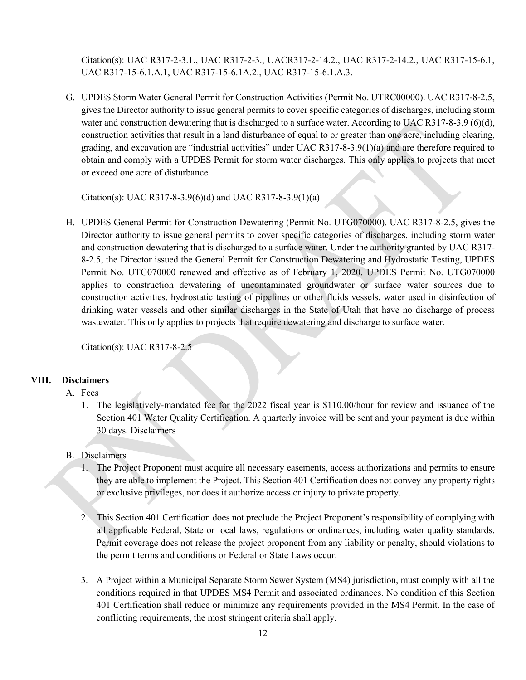Citation(s): UAC R317-2-3.1., UAC R317-2-3., UACR317-2-14.2., UAC R317-2-14.2., UAC R317-15-6.1, UAC R317-15-6.1.A.1, UAC R317-15-6.1A.2., UAC R317-15-6.1.A.3.

G. UPDES Storm Water General Permit for Construction Activities (Permit No. UTRC00000). UAC R317-8-2.5, gives the Director authority to issue general permits to cover specific categories of discharges, including storm water and construction dewatering that is discharged to a surface water. According to UAC R317-8-3.9 (6)(d), construction activities that result in a land disturbance of equal to or greater than one acre, including clearing, grading, and excavation are "industrial activities" under UAC R317-8-3.9(1)(a) and are therefore required to obtain and comply with a UPDES Permit for storm water discharges. This only applies to projects that meet or exceed one acre of disturbance.

Citation(s): UAC R317-8-3.9(6)(d) and UAC R317-8-3.9(1)(a)

H. UPDES General Permit for Construction Dewatering (Permit No. UTG070000). UAC R317-8-2.5, gives the Director authority to issue general permits to cover specific categories of discharges, including storm water and construction dewatering that is discharged to a surface water. Under the authority granted by UAC R317- 8-2.5, the Director issued the General Permit for Construction Dewatering and Hydrostatic Testing, UPDES Permit No. UTG070000 renewed and effective as of February 1, 2020. UPDES Permit No. UTG070000 applies to construction dewatering of uncontaminated groundwater or surface water sources due to construction activities, hydrostatic testing of pipelines or other fluids vessels, water used in disinfection of drinking water vessels and other similar discharges in the State of Utah that have no discharge of process wastewater. This only applies to projects that require dewatering and discharge to surface water.

Citation(s): UAC R317-8-2.5

### <span id="page-11-0"></span>**VIII. Disclaimers**

- A. Fees
	- 1. The legislatively-mandated fee for the 2022 fiscal year is \$110.00/hour for review and issuance of the Section 401 Water Quality Certification. A quarterly invoice will be sent and your payment is due within 30 days. Disclaimers
- B. Disclaimers
	- 1. The Project Proponent must acquire all necessary easements, access authorizations and permits to ensure they are able to implement the Project. This Section 401 Certification does not convey any property rights or exclusive privileges, nor does it authorize access or injury to private property.
	- 2. This Section 401 Certification does not preclude the Project Proponent's responsibility of complying with all applicable Federal, State or local laws, regulations or ordinances, including water quality standards. Permit coverage does not release the project proponent from any liability or penalty, should violations to the permit terms and conditions or Federal or State Laws occur.
	- 3. A Project within a Municipal Separate Storm Sewer System (MS4) jurisdiction, must comply with all the conditions required in that UPDES MS4 Permit and associated ordinances. No condition of this Section 401 Certification shall reduce or minimize any requirements provided in the MS4 Permit. In the case of conflicting requirements, the most stringent criteria shall apply.